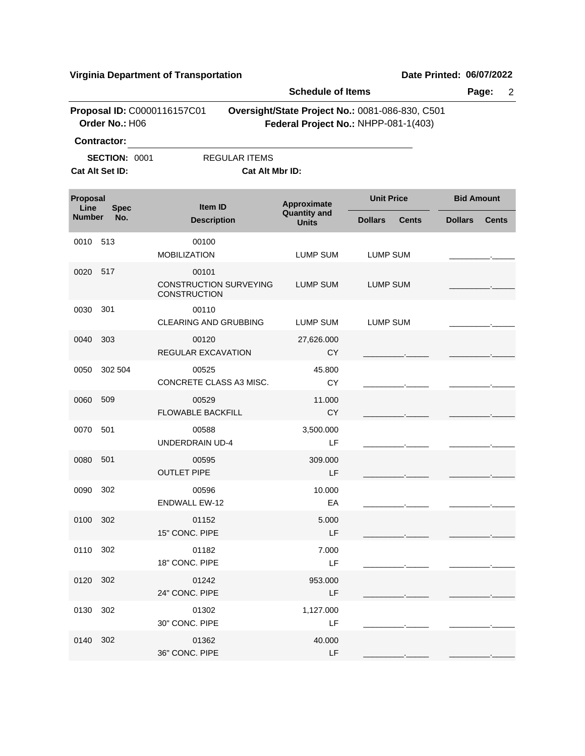|                                 |                                               |                                                               | <b>Schedule of Items</b>            |                                                                                         |                   |              |
|---------------------------------|-----------------------------------------------|---------------------------------------------------------------|-------------------------------------|-----------------------------------------------------------------------------------------|-------------------|--------------|
|                                 | Proposal ID: C0000116157C01<br>Order No.: H06 |                                                               |                                     | Oversight/State Project No.: 0081-086-830, C501<br>Federal Project No.: NHPP-081-1(403) |                   |              |
|                                 | Contractor:                                   |                                                               |                                     |                                                                                         |                   |              |
|                                 | <b>SECTION: 0001</b>                          | <b>REGULAR ITEMS</b>                                          |                                     |                                                                                         |                   |              |
|                                 | Cat Alt Set ID:                               | Cat Alt Mbr ID:                                               |                                     |                                                                                         |                   |              |
| Proposal<br>Line<br><b>Spec</b> |                                               | <b>Item ID</b>                                                | Approximate                         | <b>Unit Price</b>                                                                       | <b>Bid Amount</b> |              |
| <b>Number</b>                   | No.                                           | <b>Description</b>                                            | <b>Quantity and</b><br><b>Units</b> | <b>Dollars</b><br><b>Cents</b>                                                          | <b>Dollars</b>    | <b>Cents</b> |
| 0010                            | 513                                           | 00100<br><b>MOBILIZATION</b>                                  | LUMP SUM                            | LUMP SUM                                                                                |                   |              |
| 0020                            | 517                                           | 00101<br><b>CONSTRUCTION SURVEYING</b><br><b>CONSTRUCTION</b> | <b>LUMP SUM</b>                     | LUMP SUM                                                                                |                   |              |
| 0030                            | 301                                           | 00110<br>CLEARING AND GRUBBING                                | <b>LUMP SUM</b>                     | <b>LUMP SUM</b>                                                                         |                   |              |
| 0040                            | 303                                           | 00120<br>REGULAR EXCAVATION                                   | 27,626.000<br>CY                    |                                                                                         |                   |              |
| 0050                            | 302 504                                       | 00525<br>CONCRETE CLASS A3 MISC.                              | 45.800<br>CY                        |                                                                                         |                   |              |
| 0060                            | 509                                           | 00529<br><b>FLOWABLE BACKFILL</b>                             | 11.000<br>CY                        |                                                                                         |                   |              |
| 0070                            | 501                                           | 00588<br><b>UNDERDRAIN UD-4</b>                               | 3,500.000<br>LF                     |                                                                                         |                   |              |
| 0080                            | 501                                           | 00595<br><b>OUTLET PIPE</b>                                   | 309.000<br>LF                       |                                                                                         |                   |              |
| 0090                            | 302                                           | 00596<br><b>ENDWALL EW-12</b>                                 | 10.000<br>EA                        |                                                                                         |                   |              |
| 0100 302                        |                                               | 01152<br>15" CONC. PIPE                                       | 5.000<br>LF                         |                                                                                         |                   |              |
| 0110 302                        |                                               | 01182<br>18" CONC. PIPE                                       | 7.000<br>LF                         |                                                                                         |                   |              |
| 0120 302                        |                                               | 01242<br>24" CONC. PIPE                                       | 953.000<br>LF                       |                                                                                         |                   |              |
| 0130                            | 302                                           | 01302<br>30" CONC. PIPE                                       | 1,127.000<br>LF                     |                                                                                         |                   |              |
| 0140                            | 302                                           | 01362<br>36" CONC. PIPE                                       | 40.000<br>LF                        |                                                                                         |                   |              |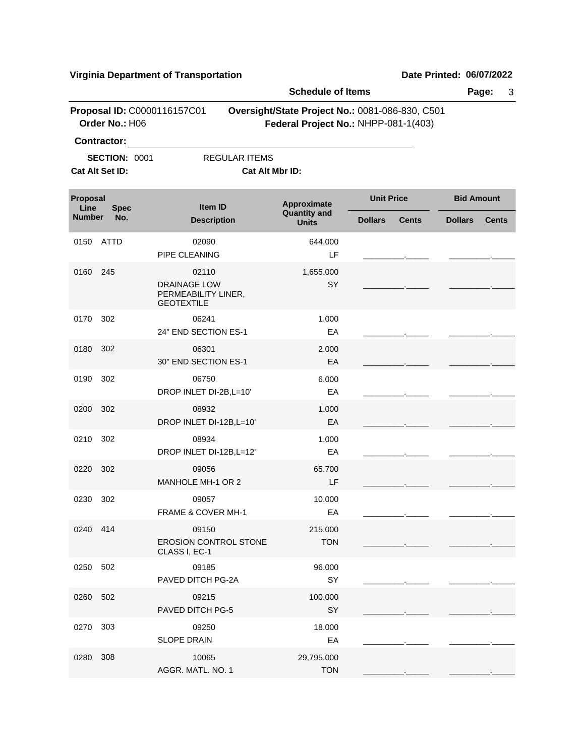|                                 |                                         |                                                                 | <b>Schedule of Items</b>                                                                |                   |              |                   | Page:<br>3   |
|---------------------------------|-----------------------------------------|-----------------------------------------------------------------|-----------------------------------------------------------------------------------------|-------------------|--------------|-------------------|--------------|
|                                 | Order No.: H06<br>Contractor:           | Proposal ID: C0000116157C01                                     | Oversight/State Project No.: 0081-086-830, C501<br>Federal Project No.: NHPP-081-1(403) |                   |              |                   |              |
|                                 | <b>SECTION: 0001</b><br>Cat Alt Set ID: | <b>REGULAR ITEMS</b>                                            | Cat Alt Mbr ID:                                                                         |                   |              |                   |              |
| Proposal<br>Line<br><b>Spec</b> |                                         | <b>Item ID</b>                                                  | Approximate                                                                             | <b>Unit Price</b> |              | <b>Bid Amount</b> |              |
| <b>Number</b>                   | No.                                     | <b>Description</b>                                              | <b>Quantity and</b><br><b>Units</b>                                                     | <b>Dollars</b>    | <b>Cents</b> | <b>Dollars</b>    | <b>Cents</b> |
| 0150                            | ATTD                                    | 02090<br>PIPE CLEANING                                          | 644.000<br>LF                                                                           |                   |              |                   |              |
| 0160                            | 245                                     | 02110                                                           | 1,655.000                                                                               |                   |              |                   |              |
|                                 |                                         | <b>DRAINAGE LOW</b><br>PERMEABILITY LINER,<br><b>GEOTEXTILE</b> | SY                                                                                      |                   |              |                   |              |
| 0170                            | 302                                     | 06241                                                           | 1.000                                                                                   |                   |              |                   |              |
|                                 |                                         | 24" END SECTION ES-1                                            | EA                                                                                      |                   |              |                   |              |
| 0180                            | 302                                     | 06301<br>30" END SECTION ES-1                                   | 2.000<br>EA                                                                             |                   |              |                   |              |
| 0190                            | 302                                     | 06750<br>DROP INLET DI-2B, L=10'                                | 6.000<br>EA                                                                             |                   |              |                   |              |
| 0200                            | 302                                     | 08932<br>DROP INLET DI-12B, L=10'                               | 1.000<br>EA                                                                             |                   |              |                   |              |
| 0210                            | 302                                     | 08934<br>DROP INLET DI-12B, L=12'                               | 1.000<br>EA                                                                             |                   |              |                   |              |
| 0220                            | 302                                     | 09056<br>MANHOLE MH-1 OR 2                                      | 65.700<br>LF                                                                            |                   |              |                   |              |
| 0230                            | 302                                     | 09057<br><b>FRAME &amp; COVER MH-1</b>                          | 10.000<br>EA                                                                            |                   |              |                   |              |
| 0240 414                        |                                         | 09150<br><b>EROSION CONTROL STONE</b><br>CLASS I, EC-1          | 215.000<br><b>TON</b>                                                                   |                   |              |                   |              |
| 0250                            | 502                                     | 09185<br>PAVED DITCH PG-2A                                      | 96.000<br>SY                                                                            |                   |              |                   |              |
| 0260                            | 502                                     | 09215<br><b>PAVED DITCH PG-5</b>                                | 100.000<br>SY                                                                           |                   |              |                   |              |
| 0270                            | 303                                     | 09250<br><b>SLOPE DRAIN</b>                                     | 18.000<br>EA                                                                            |                   |              |                   |              |
| 0280                            | 308                                     | 10065<br>AGGR. MATL. NO. 1                                      | 29,795.000<br><b>TON</b>                                                                |                   |              |                   |              |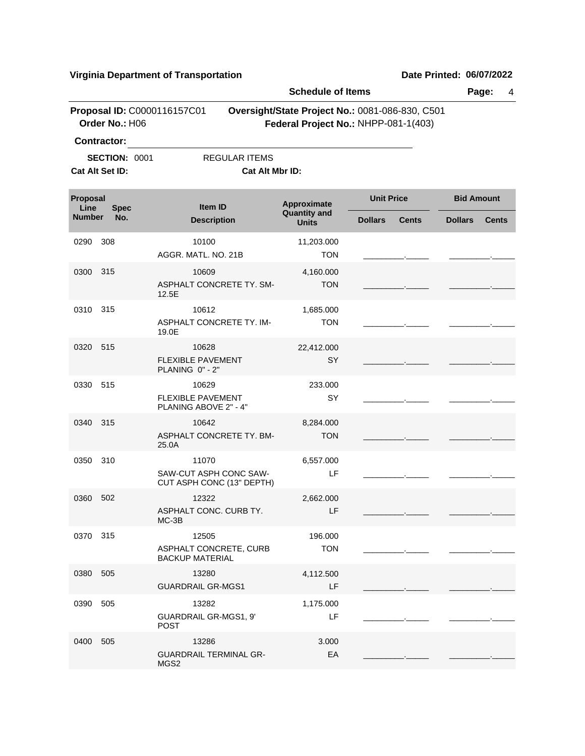|                                                         |                                         |                                                              | <b>Schedule of Items</b>                       |                                                                                         |                |                   | Page:<br>4     |                   |  |
|---------------------------------------------------------|-----------------------------------------|--------------------------------------------------------------|------------------------------------------------|-----------------------------------------------------------------------------------------|----------------|-------------------|----------------|-------------------|--|
|                                                         | Order No.: H06<br><b>Contractor:</b>    | Proposal ID: C0000116157C01                                  |                                                | Oversight/State Project No.: 0081-086-830, C501<br>Federal Project No.: NHPP-081-1(403) |                |                   |                |                   |  |
|                                                         | <b>SECTION: 0001</b><br>Cat Alt Set ID: |                                                              | <b>REGULAR ITEMS</b><br><b>Cat Alt Mbr ID:</b> |                                                                                         |                |                   |                |                   |  |
| Proposal<br>Line<br><b>Spec</b><br><b>Number</b><br>No. |                                         |                                                              | Item ID                                        | Approximate                                                                             |                | <b>Unit Price</b> |                | <b>Bid Amount</b> |  |
|                                                         |                                         | <b>Description</b>                                           |                                                | <b>Quantity and</b><br><b>Units</b>                                                     | <b>Dollars</b> | <b>Cents</b>      | <b>Dollars</b> | <b>Cents</b>      |  |
| 0290                                                    | 308                                     | 10100<br>AGGR. MATL. NO. 21B                                 |                                                | 11,203.000<br><b>TON</b>                                                                |                |                   |                |                   |  |
| 0300                                                    | 315                                     | 10609<br>ASPHALT CONCRETE TY. SM-<br>12.5E                   |                                                | 4,160.000<br><b>TON</b>                                                                 |                |                   |                |                   |  |
| 0310                                                    | 315                                     | 10612<br>ASPHALT CONCRETE TY. IM-<br>19.0E                   |                                                | 1,685.000<br><b>TON</b>                                                                 |                |                   |                |                   |  |
| 0320                                                    | 515                                     | 10628<br><b>FLEXIBLE PAVEMENT</b><br>PLANING 0" - 2"         |                                                | 22,412.000<br>SY                                                                        |                |                   |                |                   |  |
| 0330                                                    | 515                                     | 10629<br><b>FLEXIBLE PAVEMENT</b><br>PLANING ABOVE 2" - 4"   |                                                | 233.000<br>SY                                                                           |                |                   |                |                   |  |
| 0340                                                    | 315                                     | 10642<br>ASPHALT CONCRETE TY. BM-<br>25.0A                   |                                                | 8,284.000<br><b>TON</b>                                                                 |                |                   |                |                   |  |
| 0350                                                    | 310                                     | 11070<br>SAW-CUT ASPH CONC SAW-<br>CUT ASPH CONC (13" DEPTH) |                                                | 6,557.000<br>LF                                                                         |                |                   |                |                   |  |
| 0360                                                    | 502                                     | 12322<br>ASPHALT CONC. CURB TY.<br>$MC-3B$                   |                                                | 2,662.000<br>LF                                                                         |                |                   |                |                   |  |
| 0370 315                                                |                                         | 12505<br>ASPHALT CONCRETE, CURB<br><b>BACKUP MATERIAL</b>    |                                                | 196.000<br><b>TON</b>                                                                   |                |                   |                |                   |  |
| 0380                                                    | 505                                     | 13280<br><b>GUARDRAIL GR-MGS1</b>                            |                                                | 4,112.500<br>LF                                                                         |                |                   |                |                   |  |
| 0390                                                    | 505                                     | 13282<br>GUARDRAIL GR-MGS1, 9'<br><b>POST</b>                |                                                | 1,175.000<br>LF                                                                         |                |                   |                |                   |  |
| 0400                                                    | 505                                     | 13286<br><b>GUARDRAIL TERMINAL GR-</b><br>MGS2               |                                                | 3.000<br>EA                                                                             |                |                   |                |                   |  |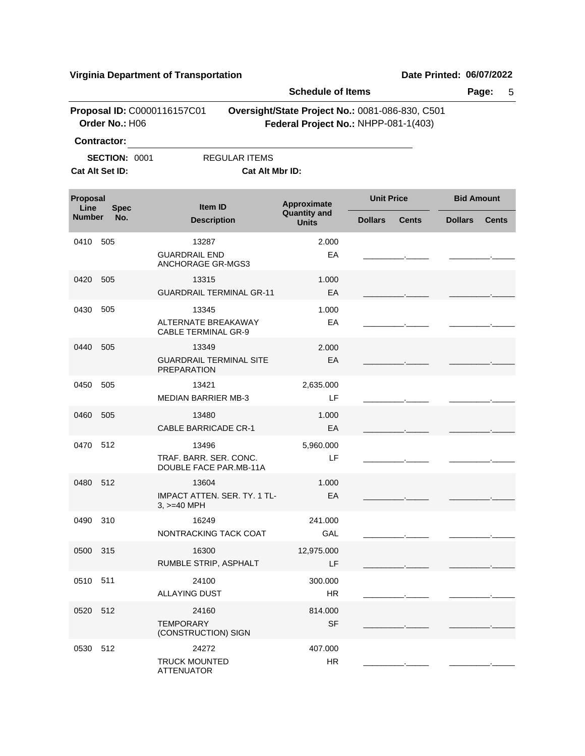|                                 |                      |                                                          | <b>Schedule of Items</b> |                                                                                         |                |                   | Page:<br>5     |                   |  |
|---------------------------------|----------------------|----------------------------------------------------------|--------------------------|-----------------------------------------------------------------------------------------|----------------|-------------------|----------------|-------------------|--|
|                                 | Order No.: H06       | Proposal ID: C0000116157C01                              |                          | Oversight/State Project No.: 0081-086-830, C501<br>Federal Project No.: NHPP-081-1(403) |                |                   |                |                   |  |
|                                 | Contractor:          |                                                          |                          |                                                                                         |                |                   |                |                   |  |
|                                 | <b>SECTION: 0001</b> |                                                          | <b>REGULAR ITEMS</b>     |                                                                                         |                |                   |                |                   |  |
|                                 | Cat Alt Set ID:      |                                                          | Cat Alt Mbr ID:          |                                                                                         |                |                   |                |                   |  |
| Proposal<br>Line<br><b>Spec</b> |                      | Item ID                                                  |                          | Approximate<br><b>Quantity and</b>                                                      |                | <b>Unit Price</b> |                | <b>Bid Amount</b> |  |
| <b>Number</b>                   | No.                  | <b>Description</b>                                       |                          | <b>Units</b>                                                                            | <b>Dollars</b> | <b>Cents</b>      | <b>Dollars</b> | <b>Cents</b>      |  |
| 0410                            | 505                  | 13287                                                    |                          | 2.000                                                                                   |                |                   |                |                   |  |
|                                 |                      | <b>GUARDRAIL END</b><br><b>ANCHORAGE GR-MGS3</b>         |                          | EA                                                                                      |                |                   |                |                   |  |
| 0420                            | 505                  | 13315                                                    |                          | 1.000                                                                                   |                |                   |                |                   |  |
|                                 |                      | <b>GUARDRAIL TERMINAL GR-11</b>                          |                          | EA                                                                                      |                |                   |                |                   |  |
| 0430                            | 505                  | 13345                                                    |                          | 1.000                                                                                   |                |                   |                |                   |  |
|                                 |                      | <b>ALTERNATE BREAKAWAY</b><br><b>CABLE TERMINAL GR-9</b> |                          | EA                                                                                      |                |                   |                |                   |  |
| 0440                            | 505                  | 13349                                                    |                          | 2.000                                                                                   |                |                   |                |                   |  |
|                                 |                      | <b>GUARDRAIL TERMINAL SITE</b><br><b>PREPARATION</b>     |                          | EA                                                                                      |                |                   |                |                   |  |
| 0450                            | 505                  | 13421                                                    |                          | 2,635.000                                                                               |                |                   |                |                   |  |
|                                 |                      | <b>MEDIAN BARRIER MB-3</b>                               |                          | LF                                                                                      |                |                   |                |                   |  |
| 0460                            | 505                  | 13480                                                    |                          | 1.000                                                                                   |                |                   |                |                   |  |
|                                 |                      | <b>CABLE BARRICADE CR-1</b>                              |                          | EA                                                                                      |                |                   |                |                   |  |
| 0470                            | 512                  | 13496                                                    |                          | 5,960.000                                                                               |                |                   |                |                   |  |
|                                 |                      | TRAF. BARR. SER. CONC.<br>DOUBLE FACE PAR.MB-11A         |                          | LF                                                                                      |                |                   |                |                   |  |
| 0480                            | 512                  | 13604                                                    |                          | 1.000                                                                                   |                |                   |                |                   |  |
|                                 |                      | <b>IMPACT ATTEN, SER, TY, 1 TL-</b><br>$3, >=40$ MPH     |                          | EA                                                                                      |                |                   |                |                   |  |
| 0490                            | 310                  | 16249                                                    |                          | 241.000                                                                                 |                |                   |                |                   |  |
|                                 |                      | NONTRACKING TACK COAT                                    |                          | GAL                                                                                     |                |                   |                |                   |  |
| 0500                            | 315                  | 16300                                                    |                          | 12,975.000                                                                              |                |                   |                |                   |  |
|                                 |                      | RUMBLE STRIP, ASPHALT                                    |                          | LF                                                                                      |                |                   |                |                   |  |
| 0510                            | 511                  | 24100                                                    |                          | 300.000                                                                                 |                |                   |                |                   |  |
|                                 |                      | <b>ALLAYING DUST</b>                                     |                          | HR                                                                                      |                |                   |                |                   |  |
| 0520                            | 512                  | 24160                                                    |                          | 814.000                                                                                 |                |                   |                |                   |  |
|                                 |                      | <b>TEMPORARY</b><br>(CONSTRUCTION) SIGN                  |                          | <b>SF</b>                                                                               |                |                   |                |                   |  |
| 0530                            | 512                  | 24272                                                    |                          | 407.000                                                                                 |                |                   |                |                   |  |
|                                 |                      | <b>TRUCK MOUNTED</b><br><b>ATTENUATOR</b>                |                          | HR                                                                                      |                |                   |                |                   |  |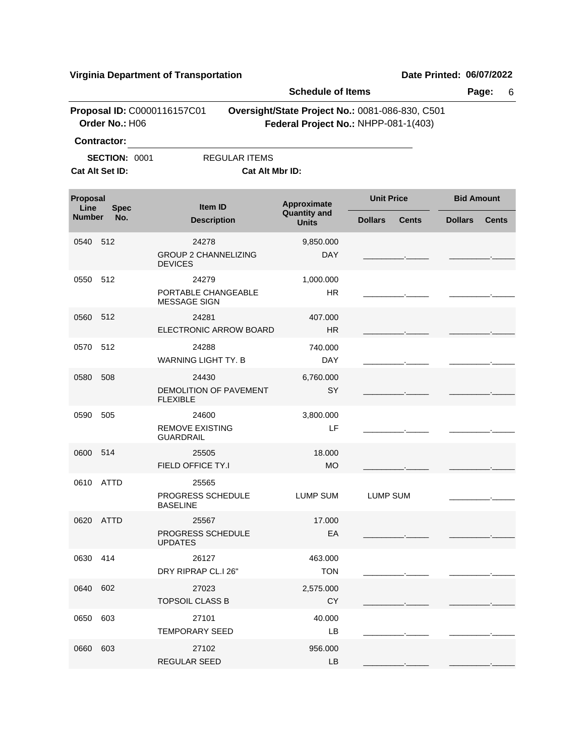|                                 |                      |                                                        | <b>Schedule of Items</b>            |                                                                                         |                                |  |
|---------------------------------|----------------------|--------------------------------------------------------|-------------------------------------|-----------------------------------------------------------------------------------------|--------------------------------|--|
|                                 | Order No.: H06       | Proposal ID: C0000116157C01                            |                                     | Oversight/State Project No.: 0081-086-830, C501<br>Federal Project No.: NHPP-081-1(403) |                                |  |
|                                 | <b>Contractor:</b>   |                                                        |                                     |                                                                                         |                                |  |
|                                 | <b>SECTION: 0001</b> | <b>REGULAR ITEMS</b>                                   |                                     |                                                                                         |                                |  |
|                                 | Cat Alt Set ID:      | Cat Alt Mbr ID:                                        |                                     |                                                                                         |                                |  |
| Proposal<br>Line<br><b>Spec</b> |                      | Item ID                                                | Approximate                         | <b>Unit Price</b>                                                                       | <b>Bid Amount</b>              |  |
| <b>Number</b>                   | No.                  | <b>Description</b>                                     | <b>Quantity and</b><br><b>Units</b> | <b>Dollars</b><br><b>Cents</b>                                                          | <b>Dollars</b><br><b>Cents</b> |  |
| 0540                            | 512                  | 24278<br><b>GROUP 2 CHANNELIZING</b><br><b>DEVICES</b> | 9,850.000<br><b>DAY</b>             |                                                                                         |                                |  |
| 0550                            | 512                  | 24279<br>PORTABLE CHANGEABLE<br><b>MESSAGE SIGN</b>    | 1,000.000<br><b>HR</b>              |                                                                                         |                                |  |
| 0560                            | 512                  | 24281<br>ELECTRONIC ARROW BOARD                        | 407.000<br>HR.                      |                                                                                         |                                |  |
| 0570                            | 512                  | 24288<br><b>WARNING LIGHT TY. B</b>                    | 740.000<br><b>DAY</b>               |                                                                                         |                                |  |
| 0580                            | 508                  | 24430<br>DEMOLITION OF PAVEMENT<br><b>FLEXIBLE</b>     | 6,760.000<br>SY                     |                                                                                         |                                |  |
| 0590                            | 505                  | 24600<br><b>REMOVE EXISTING</b><br><b>GUARDRAIL</b>    | 3,800.000<br>LF                     |                                                                                         |                                |  |
| 0600                            | 514                  | 25505<br>FIELD OFFICE TY.I                             | 18,000<br><b>MO</b>                 |                                                                                         |                                |  |
| 0610                            | ATTD                 | 25565<br>PROGRESS SCHEDULE<br><b>BASELINE</b>          | <b>LUMP SUM</b>                     | <b>LUMP SUM</b>                                                                         |                                |  |
|                                 | 0620 ATTD            | 25567<br>PROGRESS SCHEDULE<br><b>UPDATES</b>           | 17.000<br>EA                        |                                                                                         |                                |  |
| 0630 414                        |                      | 26127<br>DRY RIPRAP CL.I 26"                           | 463.000<br><b>TON</b>               |                                                                                         |                                |  |
| 0640                            | 602                  | 27023<br><b>TOPSOIL CLASS B</b>                        | 2,575.000<br><b>CY</b>              |                                                                                         |                                |  |
| 0650                            | 603                  | 27101<br><b>TEMPORARY SEED</b>                         | 40.000<br>LB                        |                                                                                         |                                |  |
| 0660                            | 603                  | 27102<br>REGULAR SEED                                  | 956.000<br>LB                       |                                                                                         |                                |  |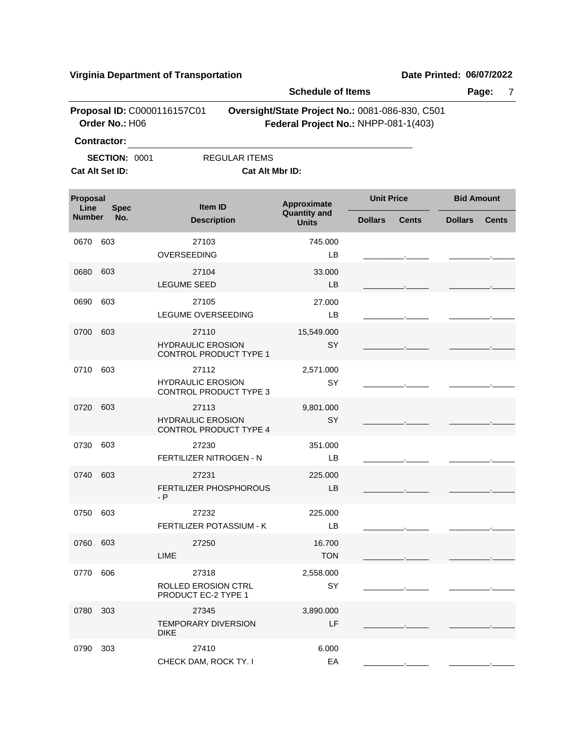|                                 |                                                        |                                                             | <b>Schedule of Items</b>                                                                |                   |       |                   | Page:<br>7   |  |  |
|---------------------------------|--------------------------------------------------------|-------------------------------------------------------------|-----------------------------------------------------------------------------------------|-------------------|-------|-------------------|--------------|--|--|
|                                 | Proposal ID: C0000116157C01<br>Order No.: H06          |                                                             | Oversight/State Project No.: 0081-086-830, C501<br>Federal Project No.: NHPP-081-1(403) |                   |       |                   |              |  |  |
|                                 | Contractor:<br><b>SECTION: 0001</b><br>Cat Alt Set ID: | <b>REGULAR ITEMS</b><br>Cat Alt Mbr ID:                     |                                                                                         |                   |       |                   |              |  |  |
| Proposal<br>Line<br><b>Spec</b> |                                                        | <b>Item ID</b>                                              | Approximate                                                                             | <b>Unit Price</b> |       | <b>Bid Amount</b> |              |  |  |
| <b>Number</b>                   | No.                                                    | <b>Description</b>                                          | <b>Quantity and</b><br><b>Units</b>                                                     | <b>Dollars</b>    | Cents | <b>Dollars</b>    | <b>Cents</b> |  |  |
| 0670                            | 603                                                    | 27103<br>OVERSEEDING                                        | 745.000<br>LB                                                                           |                   |       |                   |              |  |  |
| 0680                            | 603                                                    | 27104<br><b>LEGUME SEED</b>                                 | 33.000<br>LB                                                                            |                   |       |                   |              |  |  |
| 0690                            | 603                                                    | 27105<br>LEGUME OVERSEEDING                                 | 27.000<br>LB                                                                            |                   |       |                   |              |  |  |
| 0700                            | 603                                                    | 27110<br><b>HYDRAULIC EROSION</b><br>CONTROL PRODUCT TYPE 1 | 15,549.000<br>SY                                                                        |                   |       |                   |              |  |  |
| 0710                            | 603                                                    | 27112<br><b>HYDRAULIC EROSION</b><br>CONTROL PRODUCT TYPE 3 | 2,571.000<br>SY                                                                         |                   |       |                   |              |  |  |
| 0720                            | 603                                                    | 27113<br><b>HYDRAULIC EROSION</b><br>CONTROL PRODUCT TYPE 4 | 9,801.000<br>SY                                                                         |                   |       |                   |              |  |  |
| 0730                            | 603                                                    | 27230<br>FERTILIZER NITROGEN - N                            | 351.000<br>LB                                                                           |                   |       |                   |              |  |  |
| 0740                            | 603                                                    | 27231<br>FERTILIZER PHOSPHOROUS<br>$- P$                    | 225.000<br>LB                                                                           |                   |       |                   |              |  |  |
| 0750 603                        |                                                        | 27232<br>FERTILIZER POTASSIUM - K                           | 225.000<br>LB                                                                           |                   |       |                   |              |  |  |
| 0760 603                        |                                                        | 27250<br>LIME                                               | 16.700<br><b>TON</b>                                                                    |                   |       |                   |              |  |  |
| 0770                            | 606                                                    | 27318<br>ROLLED EROSION CTRL<br>PRODUCT EC-2 TYPE 1         | 2,558.000<br>SY                                                                         |                   |       |                   |              |  |  |
| 0780                            | 303                                                    | 27345<br><b>TEMPORARY DIVERSION</b><br><b>DIKE</b>          | 3,890.000<br>LF                                                                         |                   |       |                   |              |  |  |
| 0790                            | 303                                                    | 27410<br>CHECK DAM, ROCK TY. I                              | 6.000<br>EA                                                                             |                   |       |                   |              |  |  |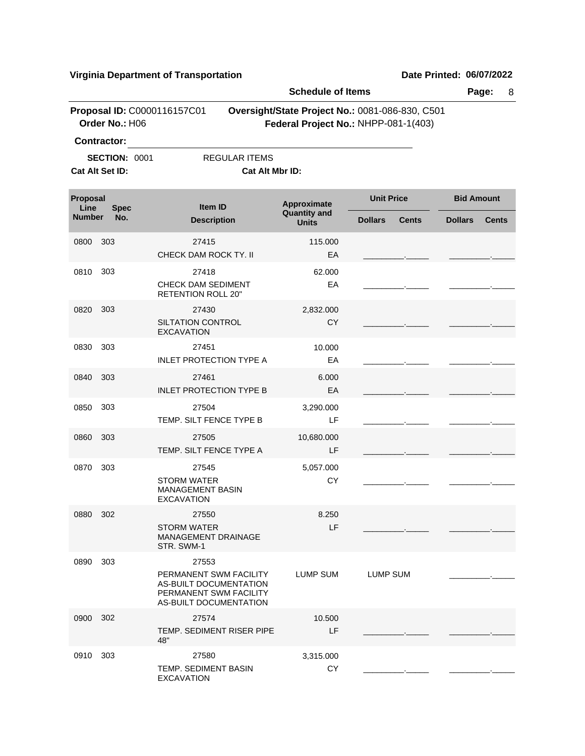EXCAVATION

|                                               |                      |                                                                                                      | <b>Schedule of Items</b> |                                                                                         |                   |       | Page:<br>8        |              |  |
|-----------------------------------------------|----------------------|------------------------------------------------------------------------------------------------------|--------------------------|-----------------------------------------------------------------------------------------|-------------------|-------|-------------------|--------------|--|
| Proposal ID: C0000116157C01<br>Order No.: H06 |                      |                                                                                                      |                          | Oversight/State Project No.: 0081-086-830, C501<br>Federal Project No.: NHPP-081-1(403) |                   |       |                   |              |  |
|                                               | <b>Contractor:</b>   |                                                                                                      |                          |                                                                                         |                   |       |                   |              |  |
|                                               | <b>SECTION: 0001</b> |                                                                                                      | <b>REGULAR ITEMS</b>     |                                                                                         |                   |       |                   |              |  |
|                                               | Cat Alt Set ID:      |                                                                                                      | Cat Alt Mbr ID:          |                                                                                         |                   |       |                   |              |  |
| Proposal<br>Line<br><b>Spec</b>               |                      | Item ID                                                                                              |                          | <b>Approximate</b><br><b>Quantity and</b>                                               | <b>Unit Price</b> |       | <b>Bid Amount</b> |              |  |
| <b>Number</b>                                 | No.                  | <b>Description</b>                                                                                   |                          | <b>Units</b>                                                                            | <b>Dollars</b>    | Cents |                   | <b>Cents</b> |  |
| 0800                                          | 303                  | 27415<br>CHECK DAM ROCK TY. II                                                                       |                          | 115.000<br>EA                                                                           |                   |       |                   |              |  |
| 0810                                          | 303                  | 27418                                                                                                |                          | 62.000                                                                                  |                   |       |                   |              |  |
|                                               |                      | <b>CHECK DAM SEDIMENT</b><br><b>RETENTION ROLL 20"</b>                                               |                          | EA                                                                                      |                   |       |                   |              |  |
| 0820                                          | 303                  | 27430                                                                                                |                          | 2,832.000                                                                               |                   |       |                   |              |  |
|                                               |                      | <b>SILTATION CONTROL</b><br><b>EXCAVATION</b>                                                        |                          | <b>CY</b>                                                                               |                   |       |                   |              |  |
| 0830                                          | 303                  | 27451                                                                                                |                          | 10.000                                                                                  |                   |       |                   |              |  |
|                                               |                      | <b>INLET PROTECTION TYPE A</b>                                                                       |                          | EA                                                                                      |                   |       |                   |              |  |
| 0840                                          | 303                  | 27461<br><b>INLET PROTECTION TYPE B</b>                                                              |                          | 6.000<br>EA                                                                             |                   |       |                   |              |  |
| 0850                                          | 303                  | 27504<br>TEMP. SILT FENCE TYPE B                                                                     |                          | 3,290.000<br>LF                                                                         |                   |       |                   |              |  |
|                                               |                      |                                                                                                      |                          |                                                                                         |                   |       |                   |              |  |
| 0860                                          | 303                  | 27505<br>TEMP. SILT FENCE TYPE A                                                                     |                          | 10,680.000<br>LF                                                                        |                   |       |                   |              |  |
| 0870                                          | 303                  | 27545                                                                                                |                          | 5,057.000                                                                               |                   |       |                   |              |  |
|                                               |                      | <b>STORM WATER</b><br><b>MANAGEMENT BASIN</b><br><b>EXCAVATION</b>                                   |                          | CY                                                                                      |                   |       |                   |              |  |
| 0880                                          | 302                  | 27550                                                                                                |                          | 8.250                                                                                   |                   |       |                   |              |  |
|                                               |                      | <b>STORM WATER</b><br>MANAGEMENT DRAINAGE<br>STR. SWM-1                                              |                          | LF                                                                                      |                   |       |                   |              |  |
| 0890                                          | 303                  | 27553                                                                                                |                          |                                                                                         |                   |       |                   |              |  |
|                                               |                      | PERMANENT SWM FACILITY<br>AS-BUILT DOCUMENTATION<br>PERMANENT SWM FACILITY<br>AS-BUILT DOCUMENTATION |                          | LUMP SUM                                                                                | <b>LUMP SUM</b>   |       |                   |              |  |
| 0900                                          | 302                  | 27574<br>TEMP. SEDIMENT RISER PIPE                                                                   |                          | 10.500<br>LF                                                                            |                   |       |                   |              |  |
|                                               |                      | 48"                                                                                                  |                          |                                                                                         |                   |       |                   |              |  |
| 0910                                          | 303                  | 27580<br>TEMP. SEDIMENT BASIN                                                                        |                          | 3,315.000<br>CY                                                                         |                   |       |                   |              |  |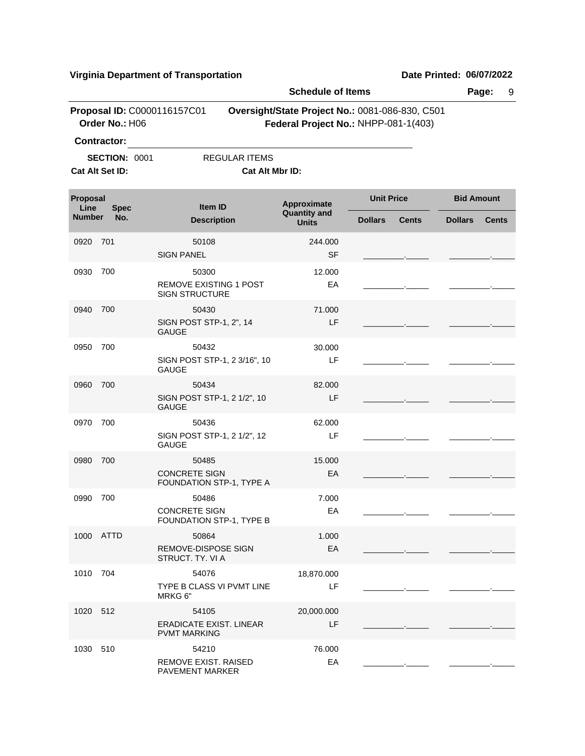**Schedule of Items Page:** 9 **Proposal ID: C0000116157C01 Oversight/State Project No.: 0081-086-830, C501 Order No.:** H06 **Federal Project No.:** NHPP-081-1(403) **Contractor: SECTION: 0001 REGULAR ITEMS Cat Alt Set ID: Cat Alt Mbr ID: Approximate Unit Price Bid Amount**<br>Quantity and **All Contract Contract Contract Contract Contract Contract Contract Contract Contract Contract Contract Contract Contract Contract Contract Contract Contract Contract Cont Quantity and Description Units Item ID Proposal Line**<br>**Number Number Dollars Cents Dollars Cents Spec No.** 0920 50108 701 SIGN PANEL SERVICES AND SERVICES 244.000 \_\_\_\_\_\_\_\_\_.\_\_\_\_\_ \_\_\_\_\_\_\_\_\_.\_\_\_\_\_ 0930 50300 700 REMOVE EXISTING 1 POST SIGN STRUCTURE EA 12.000 \_\_\_\_\_\_\_\_\_.\_\_\_\_\_ \_\_\_\_\_\_\_\_\_.\_\_\_\_\_ 0940 50430 700 SIGN POST STP-1, 2", 14 GAUGE LF 71.000 \_\_\_\_\_\_\_\_\_.\_\_\_\_\_ \_\_\_\_\_\_\_\_\_.\_\_\_\_\_ 0950 50432 700 SIGN POST STP-1, 2 3/16", 10 GAUGE LF 30.000 \_\_\_\_\_\_\_\_\_.\_\_\_\_\_ \_\_\_\_\_\_\_\_\_.\_\_\_\_\_ 0960 50434 700 SIGN POST STP-1, 2 1/2", 10 GAUGE LF 82.000 \_\_\_\_\_\_\_\_\_.\_\_\_\_\_ \_\_\_\_\_\_\_\_\_.\_\_\_\_\_ 0970 50436 700 SIGN POST STP-1, 2 1/2", 12 GAUGE LF 62.000 \_\_\_\_\_\_\_\_\_.\_\_\_\_\_ \_\_\_\_\_\_\_\_\_.\_\_\_\_\_ 0980 50485 700 CONCRETE SIGN FOUNDATION STP-1, TYPE A EA 15.000 \_\_\_\_\_\_\_\_\_.\_\_\_\_\_ \_\_\_\_\_\_\_\_\_.\_\_\_\_\_ 0990 50486 700 CONCRETE SIGN FOUNDATION STP-1, TYPE B EA 7.000 \_\_\_\_\_\_\_\_\_.\_\_\_\_\_ \_\_\_\_\_\_\_\_\_.\_\_\_\_\_ 1000 50864 ATTD REMOVE-DISPOSE SIGN STRUCT. TY. VI A EA 1.000 \_\_\_\_\_\_\_\_\_.\_\_\_\_\_ \_\_\_\_\_\_\_\_\_.\_\_\_\_\_ 1010 54076 704 TYPE B CLASS VI PVMT LINE MRKG 6" LF 18,870.000 \_\_\_\_\_\_\_\_\_.\_\_\_\_\_ \_\_\_\_\_\_\_\_\_.\_\_\_\_\_ 1020 54105 512 ERADICATE EXIST. LINEAR PVMT MARKING LF 20,000.000 \_\_\_\_\_\_\_\_\_.\_\_\_\_\_ \_\_\_\_\_\_\_\_\_.\_\_\_\_\_ 1030 54210 510REMOVE EXIST. RAISED PAVEMENT MARKER EA 76.000 \_\_\_\_\_\_\_\_\_.\_\_\_\_\_ \_\_\_\_\_\_\_\_\_.\_\_\_\_\_